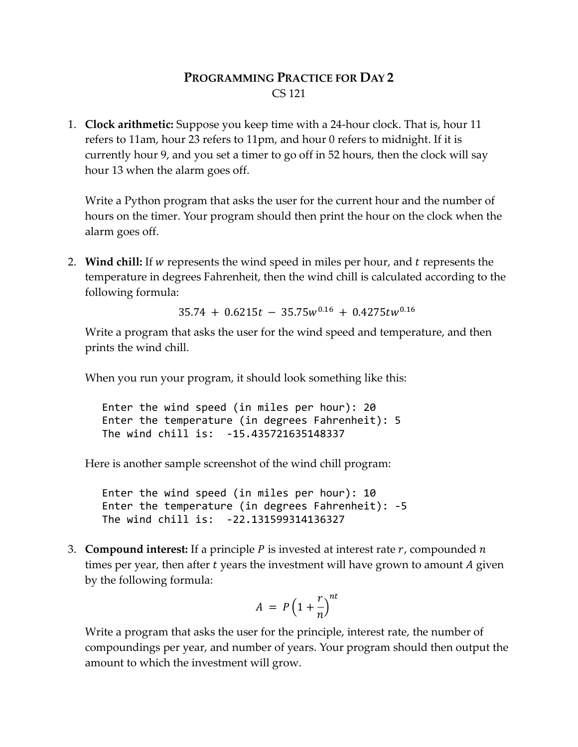# **PROGRAMMING PRACTICE FOR DAY 2** CS 121

1. **Clock arithmetic:** Suppose you keep time with a 24-hour clock. That is, hour 11 refers to 11am, hour 23 refers to 11pm, and hour 0 refers to midnight. If it is currently hour 9, and you set a timer to go off in 52 hours, then the clock will say hour 13 when the alarm goes off.

Write a Python program that asks the user for the current hour and the number of hours on the timer. Your program should then print the hour on the clock when the alarm goes off.

2. **Wind chill:** If w represents the wind speed in miles per hour, and t represents the temperature in degrees Fahrenheit, then the wind chill is calculated according to the following formula:

 $35.74 + 0.6215t - 35.75w^{0.16} + 0.4275tw^{0.16}$ 

Write a program that asks the user for the wind speed and temperature, and then prints the wind chill.

When you run your program, it should look something like this:

Enter the wind speed (in miles per hour): 20 Enter the temperature (in degrees Fahrenheit): 5 The wind chill is: -15.435721635148337

Here is another sample screenshot of the wind chill program:

Enter the wind speed (in miles per hour): 10 Enter the temperature (in degrees Fahrenheit): -5 The wind chill is: -22.131599314136327

3. **Compound interest:** If a principle  $P$  is invested at interest rate  $r$ , compounded  $n$ times per year, then after  $t$  years the investment will have grown to amount  $A$  given by the following formula:

$$
A = P\left(1 + \frac{r}{n}\right)^{nt}
$$

Write a program that asks the user for the principle, interest rate, the number of compoundings per year, and number of years. Your program should then output the amount to which the investment will grow.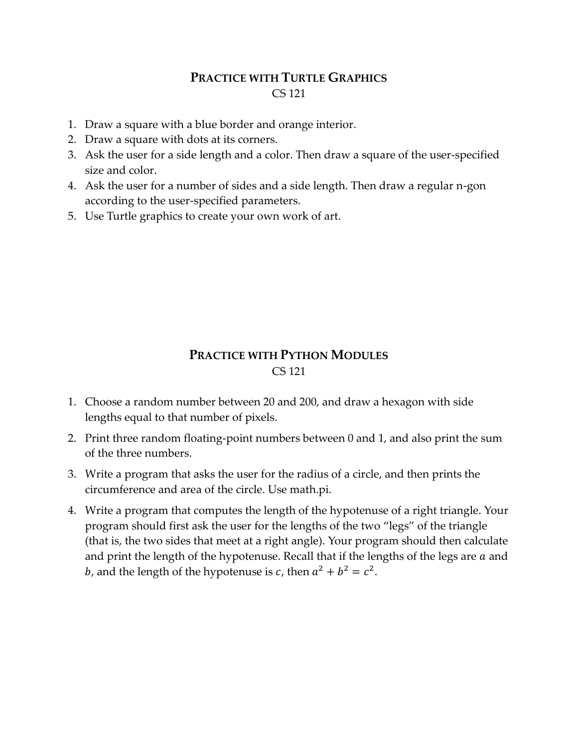# **PRACTICE WITH TURTLE GRAPHICS** CS 121

- 1. Draw a square with a blue border and orange interior.
- 2. Draw a square with dots at its corners.
- 3. Ask the user for a side length and a color. Then draw a square of the user-specified size and color.
- 4. Ask the user for a number of sides and a side length. Then draw a regular n-gon according to the user-specified parameters.
- 5. Use Turtle graphics to create your own work of art.

# **PRACTICE WITH PYTHON MODULES** CS 121

- 1. Choose a random number between 20 and 200, and draw a hexagon with side lengths equal to that number of pixels.
- 2. Print three random floating-point numbers between 0 and 1, and also print the sum of the three numbers.
- 3. Write a program that asks the user for the radius of a circle, and then prints the circumference and area of the circle. Use math.pi.
- 4. Write a program that computes the length of the hypotenuse of a right triangle. Your program should first ask the user for the lengths of the two "legs" of the triangle (that is, the two sides that meet at a right angle). Your program should then calculate and print the length of the hypotenuse. Recall that if the lengths of the legs are  $a$  and *b*, and the length of the hypotenuse is *c*, then  $a^2 + b^2 = c^2$ .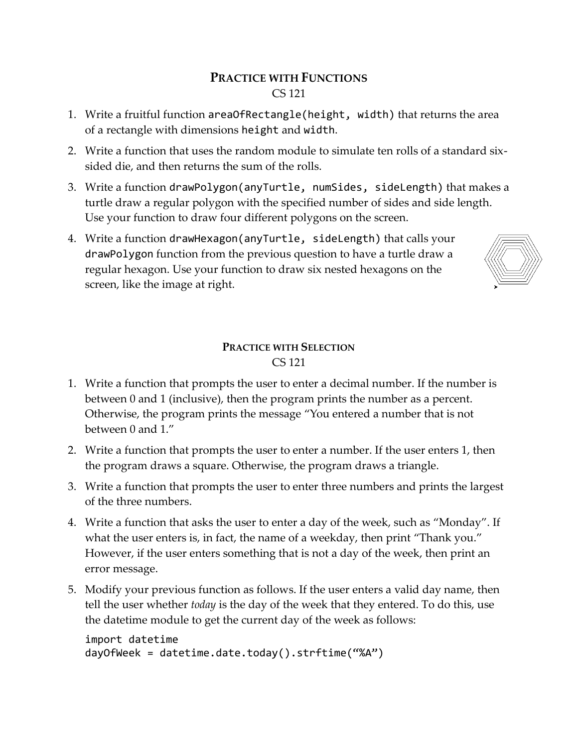# **PRACTICE WITH FUNCTIONS** CS 121

- 1. Write a fruitful function areaOfRectangle(height, width) that returns the area of a rectangle with dimensions height and width.
- 2. Write a function that uses the random module to simulate ten rolls of a standard sixsided die, and then returns the sum of the rolls.
- 3. Write a function drawPolygon(anyTurtle, numSides, sideLength) that makes a turtle draw a regular polygon with the specified number of sides and side length. Use your function to draw four different polygons on the screen.
- 4. Write a function drawHexagon(anyTurtle, sideLength) that calls your drawPolygon function from the previous question to have a turtle draw a regular hexagon. Use your function to draw six nested hexagons on the screen, like the image at right.



# **PRACTICE WITH SELECTION** CS 121

- 1. Write a function that prompts the user to enter a decimal number. If the number is between 0 and 1 (inclusive), then the program prints the number as a percent. Otherwise, the program prints the message "You entered a number that is not between 0 and 1."
- 2. Write a function that prompts the user to enter a number. If the user enters 1, then the program draws a square. Otherwise, the program draws a triangle.
- 3. Write a function that prompts the user to enter three numbers and prints the largest of the three numbers.
- 4. Write a function that asks the user to enter a day of the week, such as "Monday". If what the user enters is, in fact, the name of a weekday, then print "Thank you." However, if the user enters something that is not a day of the week, then print an error message.
- 5. Modify your previous function as follows. If the user enters a valid day name, then tell the user whether *today* is the day of the week that they entered. To do this, use the datetime module to get the current day of the week as follows:

```
import datetime
dayOfWeek = datetime.date.today().strftime("%A")
```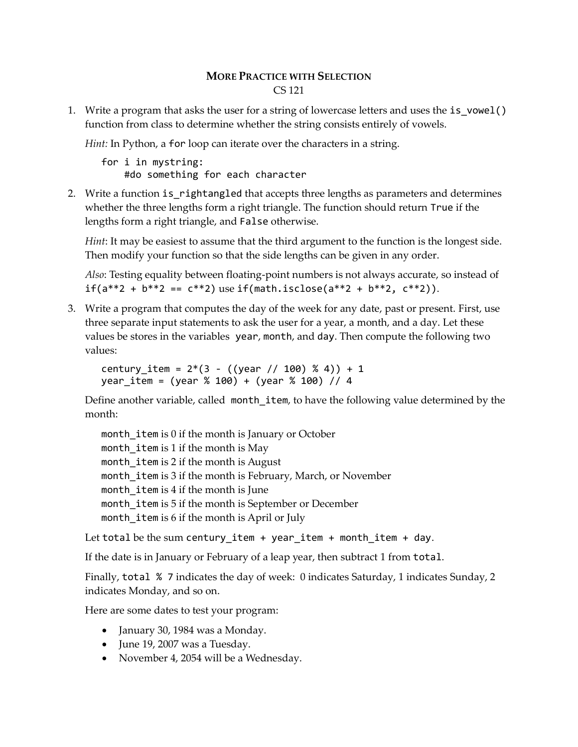### **MORE PRACTICE WITH SELECTION** CS 121

1. Write a program that asks the user for a string of lowercase letters and uses the is\_vowel() function from class to determine whether the string consists entirely of vowels.

*Hint:* In Python, a for loop can iterate over the characters in a string.

for i in mystring: #do something for each character

2. Write a function is rightangled that accepts three lengths as parameters and determines whether the three lengths form a right triangle. The function should return True if the lengths form a right triangle, and False otherwise.

*Hint*: It may be easiest to assume that the third argument to the function is the longest side. Then modify your function so that the side lengths can be given in any order.

*Also*: Testing equality between floating-point numbers is not always accurate, so instead of  $if(a^{**}2 + b^{**}2 == c^{**}2)$  use  $if(math.isclose(a^{**}2 + b^{**}2, c^{**}2)).$ 

3. Write a program that computes the day of the week for any date, past or present. First, use three separate input statements to ask the user for a year, a month, and a day. Let these values be stores in the variables year, month, and day. Then compute the following two values:

century item =  $2*(3 - ((year / / 100) % 4)) + 1$ year item = (year % 100) + (year % 100) // 4

Define another variable, called month item, to have the following value determined by the month:

month item is 0 if the month is January or October month item is 1 if the month is May month\_item is 2 if the month is August month\_item is 3 if the month is February, March, or November month\_item is 4 if the month is June month\_item is 5 if the month is September or December month\_item is 6 if the month is April or July

Let total be the sum century\_item + year\_item + month\_item + day.

If the date is in January or February of a leap year, then subtract 1 from total.

Finally, total % 7 indicates the day of week: 0 indicates Saturday, 1 indicates Sunday, 2 indicates Monday, and so on.

Here are some dates to test your program:

- January 30, 1984 was a Monday.
- June 19, 2007 was a Tuesday.
- November 4, 2054 will be a Wednesday.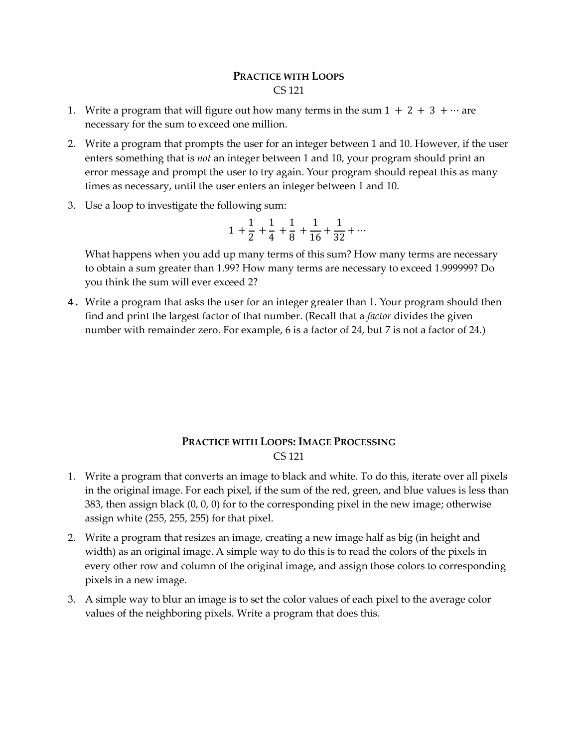### **PRACTICE WITH LOOPS** CS 121

- 1. Write a program that will figure out how many terms in the sum  $1 + 2 + 3 + \cdots$  are necessary for the sum to exceed one million.
- 2. Write a program that prompts the user for an integer between 1 and 10. However, if the user enters something that is *not* an integer between 1 and 10, your program should print an error message and prompt the user to try again. Your program should repeat this as many times as necessary, until the user enters an integer between 1 and 10.
- 3. Use a loop to investigate the following sum:

$$
1 + \frac{1}{2} + \frac{1}{4} + \frac{1}{8} + \frac{1}{16} + \frac{1}{32} + \dots
$$

What happens when you add up many terms of this sum? How many terms are necessary to obtain a sum greater than 1.99? How many terms are necessary to exceed 1.999999? Do you think the sum will ever exceed 2?

4. Write a program that asks the user for an integer greater than 1. Your program should then find and print the largest factor of that number. (Recall that a *factor* divides the given number with remainder zero. For example, 6 is a factor of 24, but 7 is not a factor of 24.)

### **PRACTICE WITH LOOPS: IMAGE PROCESSING** CS 121

- 1. Write a program that converts an image to black and white. To do this, iterate over all pixels in the original image. For each pixel, if the sum of the red, green, and blue values is less than 383, then assign black (0, 0, 0) for to the corresponding pixel in the new image; otherwise assign white (255, 255, 255) for that pixel.
- 2. Write a program that resizes an image, creating a new image half as big (in height and width) as an original image. A simple way to do this is to read the colors of the pixels in every other row and column of the original image, and assign those colors to corresponding pixels in a new image.
- 3. A simple way to blur an image is to set the color values of each pixel to the average color values of the neighboring pixels. Write a program that does this.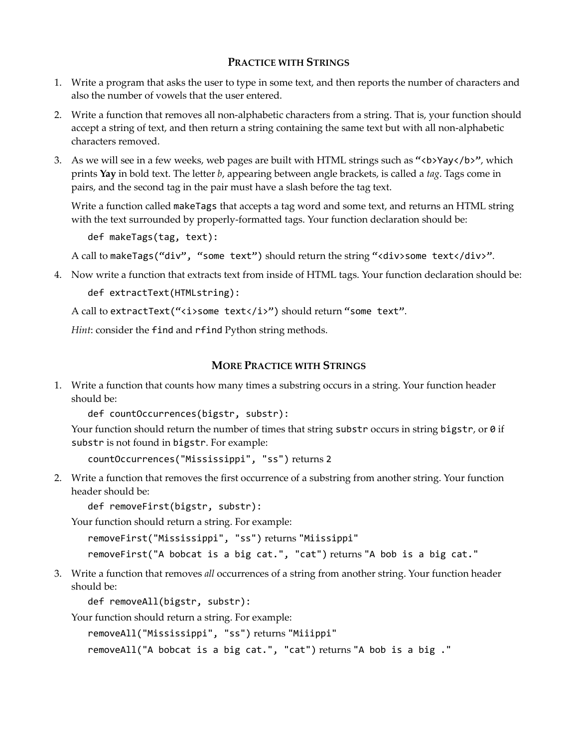#### **PRACTICE WITH STRINGS**

- 1. Write a program that asks the user to type in some text, and then reports the number of characters and also the number of vowels that the user entered.
- 2. Write a function that removes all non-alphabetic characters from a string. That is, your function should accept a string of text, and then return a string containing the same text but with all non-alphabetic characters removed.
- 3. As we will see in a few weeks, web pages are built with HTML strings such as "<br/>b>Yay</b>", which prints **Yay** in bold text. The letter *b*, appearing between angle brackets, is called a *tag*. Tags come in pairs, and the second tag in the pair must have a slash before the tag text.

Write a function called makeTags that accepts a tag word and some text, and returns an HTML string with the text surrounded by properly-formatted tags. Your function declaration should be:

```
def makeTags(tag, text):
```
A call to makeTags("div", "some text") should return the string "<div>some text</div>".

4. Now write a function that extracts text from inside of HTML tags. Your function declaration should be: def extractText(HTMLstring):

A call to extractText("<i>some text</i>>') should return "some text".

*Hint*: consider the find and rfind Python string methods.

#### **MORE PRACTICE WITH STRINGS**

1. Write a function that counts how many times a substring occurs in a string. Your function header should be:

def countOccurrences(bigstr, substr):

Your function should return the number of times that string substr occurs in string bigstr, or 0 if substr is not found in bigstr. For example:

countOccurrences("Mississippi", "ss") returns 2

2. Write a function that removes the first occurrence of a substring from another string. Your function header should be:

```
def removeFirst(bigstr, substr):
```
Your function should return a string. For example:

removeFirst("Mississippi", "ss") returns "Miissippi"

removeFirst("A bobcat is a big cat.", "cat") returns "A bob is a big cat."

3. Write a function that removes *all* occurrences of a string from another string. Your function header should be:

def removeAll(bigstr, substr):

Your function should return a string. For example:

removeAll("Mississippi", "ss") returns "Miiippi"

removeAll("A bobcat is a big cat.", "cat") returns "A bob is a big ."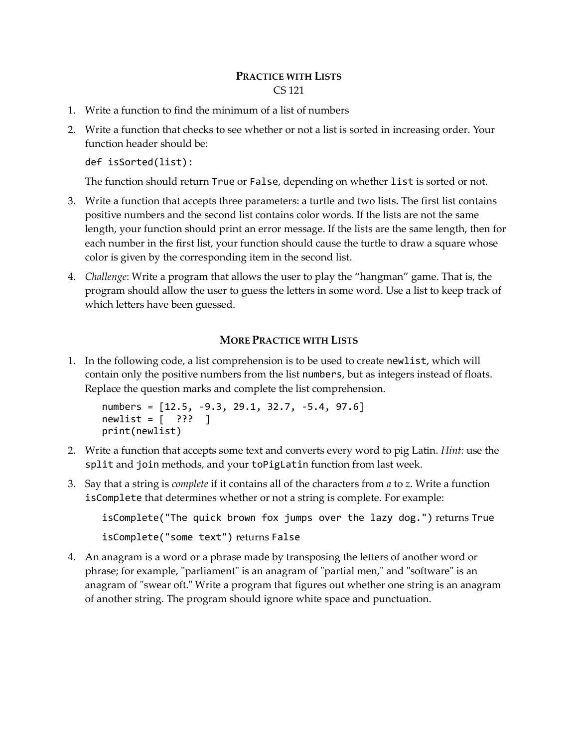### **PRACTICE WITH LISTS** CS 121

- 1. Write a function to find the minimum of a list of numbers
- 2. Write a function that checks to see whether or not a list is sorted in increasing order. Your function header should be:

```
def isSorted(list):
```
The function should return True or False, depending on whether list is sorted or not.

- 3. Write a function that accepts three parameters: a turtle and two lists. The first list contains positive numbers and the second list contains color words. If the lists are not the same length, your function should print an error message. If the lists are the same length, then for each number in the first list, your function should cause the turtle to draw a square whose color is given by the corresponding item in the second list.
- 4. *Challenge*: Write a program that allows the user to play the "hangman" game. That is, the program should allow the user to guess the letters in some word. Use a list to keep track of which letters have been guessed.

## **MORE PRACTICE WITH LISTS**

1. In the following code, a list comprehension is to be used to create newlist, which will contain only the positive numbers from the list numbers, but as integers instead of floats. Replace the question marks and complete the list comprehension.

```
numbers = [12.5, -9.3, 29.1, 32.7, -5.4, 97.6]
newlist = [ ? ? ? ]print(newlist)
```
- 2. Write a function that accepts some text and converts every word to pig Latin. *Hint:* use the split and join methods, and your toPigLatin function from last week.
- 3. Say that a string is *complete* if it contains all of the characters from *a* to *z*. Write a function isComplete that determines whether or not a string is complete. For example:

```
isComplete("The quick brown fox jumps over the lazy dog.") returns True
isComplete("some text") returns False
```
4. An anagram is a word or a phrase made by transposing the letters of another word or phrase; for example, "parliament" is an anagram of "partial men," and "software" is an anagram of "swear oft." Write a program that figures out whether one string is an anagram of another string. The program should ignore white space and punctuation.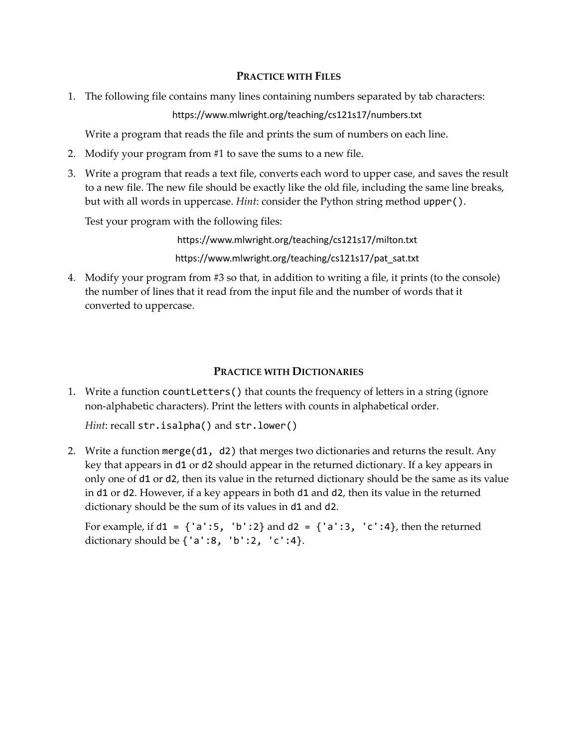### **PRACTICE WITH FILES**

1. The following file contains many lines containing numbers separated by tab characters:

https://www.mlwright.org/teaching/cs121s17/numbers.txt

Write a program that reads the file and prints the sum of numbers on each line.

- 2. Modify your program from #1 to save the sums to a new file.
- 3. Write a program that reads a text file, converts each word to upper case, and saves the result to a new file. The new file should be exactly like the old file, including the same line breaks, but with all words in uppercase. *Hint*: consider the Python string method upper().

Test your program with the following files:

https://www.mlwright.org/teaching/cs121s17/milton.txt

https://www.mlwright.org/teaching/cs121s17/pat\_sat.txt

4. Modify your program from #3 so that, in addition to writing a file, it prints (to the console) the number of lines that it read from the input file and the number of words that it converted to uppercase.

## **PRACTICE WITH DICTIONARIES**

1. Write a function countLetters() that counts the frequency of letters in a string (ignore non-alphabetic characters). Print the letters with counts in alphabetical order.

*Hint*: recall str.isalpha() and str.lower()

2. Write a function merge(d1, d2) that merges two dictionaries and returns the result. Any key that appears in d1 or d2 should appear in the returned dictionary. If a key appears in only one of d1 or d2, then its value in the returned dictionary should be the same as its value in d1 or d2. However, if a key appears in both d1 and d2, then its value in the returned dictionary should be the sum of its values in d1 and d2.

For example, if  $d1 = \{ 'a':5, 'b':2 \}$  and  $d2 = \{ 'a':3, 'c':4 \}$ , then the returned dictionary should be  $\{ 'a': 8, 'b': 2, 'c': 4 \}.$